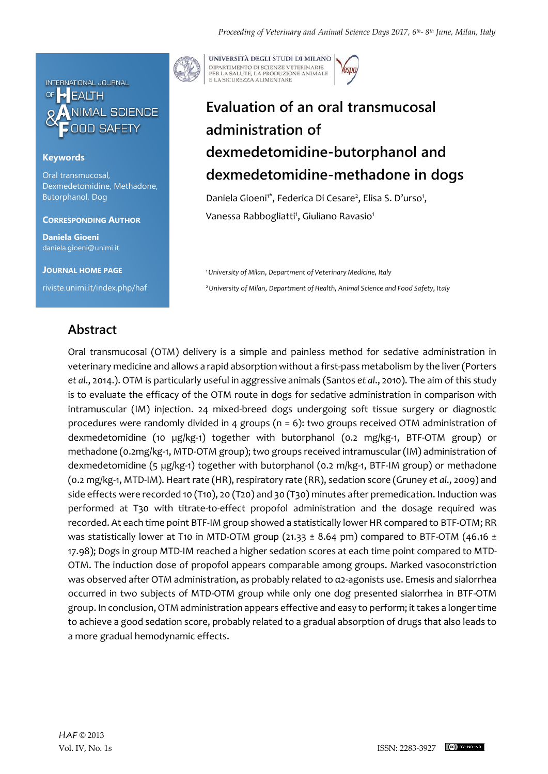

### **Keywords**

Oral transmucosal, Dexmedetomidine, Methadone, Butorphanol, Dog

#### **CORRESPONDING AUTHOR**

**Daniela Gioeni** daniela.gioeni@unimi.it

**JOURNAL HOME PAGE** riviste.unimi.it/index.php/haf



UNIVERSITÀ DEGLI STUDI DI MILANO DIPARTIMENTO DI SCIENZE VETERINARIE PER LA SALUTE, LA PRODUZIONE ANIMALE<br>E LA SICUREZZA ALIMENTARE

# **Evaluation of an oral transmucosal administration of dexmedetomidine-butorphanol and dexmedetomidine-methadone in dogs**

Daniela Gioeni<sup>1\*</sup>, Federica Di Cesare<sup>2</sup>, Elisa S. D'urso<sup>1</sup>, Vanessa Rabbogliatti<sup>1</sup>, Giuliano Ravasio<sup>1</sup>

*<sup>1</sup>University of Milan*, *Department of Veterinary Medicine, Italy <sup>2</sup>University of Milan*, *Department of Health, Animal Science and Food Safety, Italy* 

### **Abstract**

Oral transmucosal (OTM) delivery is a simple and painless method for sedative administration in veterinary medicine and allows a rapid absorption without a first-pass metabolism by the liver (Porters *et al*., 2014.). OTM is particularly useful in aggressive animals (Santos *et al*., 2010). The aim of this study is to evaluate the efficacy of the OTM route in dogs for sedative administration in comparison with intramuscular (IM) injection. 24 mixed-breed dogs undergoing soft tissue surgery or diagnostic procedures were randomly divided in 4 groups ( $n = 6$ ): two groups received OTM administration of dexmedetomidine (10 µg/kg-1) together with butorphanol (0.2 mg/kg-1, BTF-OTM group) or methadone (0.2mg/kg-1, MTD-OTM group); two groups received intramuscular (IM) administration of dexmedetomidine (5 µg/kg-1) together with butorphanol (0.2 m/kg-1, BTF-IM group) or methadone (0.2 mg/kg-1, MTD-IM). Heart rate (HR), respiratory rate (RR), sedation score (Gruney *et al*., 2009) and side effects were recorded 10 (T10), 20 (T20) and 30 (T30) minutes after premedication. Induction was performed at T30 with titrate-to-effect propofol administration and the dosage required was recorded. At each time point BTF-IM group showed a statistically lower HR compared to BTF-OTM; RR was statistically lower at T10 in MTD-OTM group (21.33  $\pm$  8.64 pm) compared to BTF-OTM (46.16  $\pm$ 17.98); Dogs in group MTD-IM reached a higher sedation scores at each time point compared to MTD-OTM. The induction dose of propofol appears comparable among groups. Marked vasoconstriction was observed after OTM administration, as probably related to α2-agonists use. Emesis and sialorrhea occurred in two subjects of MTD-OTM group while only one dog presented sialorrhea in BTF-OTM group. In conclusion, OTM administration appears effective and easy to perform; it takes a longer time to achieve a good sedation score, probably related to a gradual absorption of drugs that also leads to a more gradual hemodynamic effects.